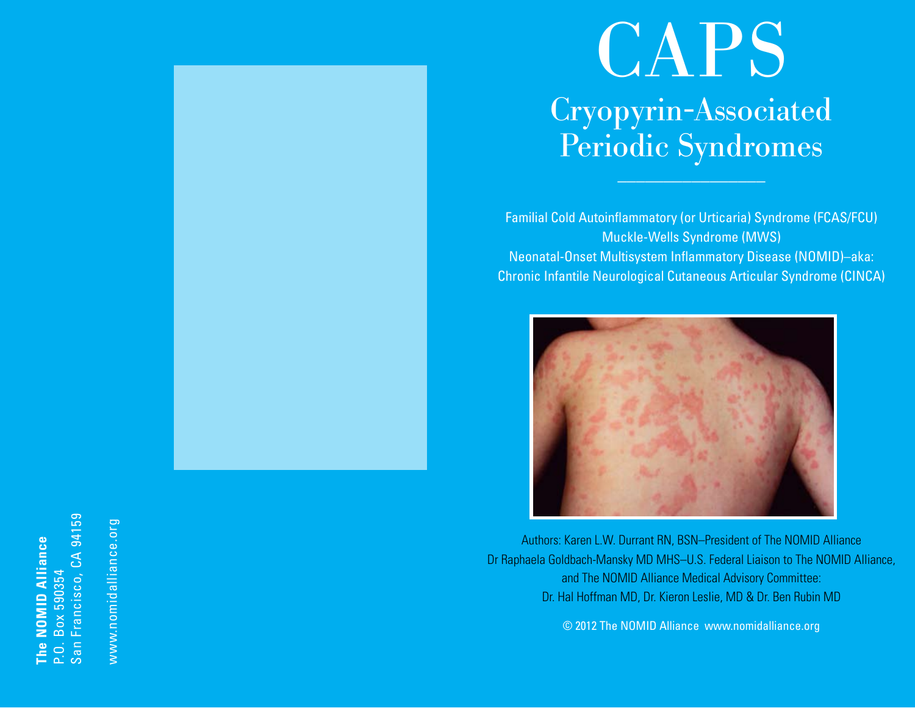## San Francisco, CA 94159 Francisco, CA 94159 The NOMID Alliance **The NOMID Alliance** Box 590354 P.O. Box 590354  $San I$  $\overline{P}$ .

www.nomidalliance.org www.nomidalliance.org

# CAPS Cryopyrin-Associated Periodic Syndromes

Familial Cold Autoinflammatory (or Urticaria) Syndrome (FCAS/FCU) Muckle-Wells Syndrome (MWS) Neonatal-Onset Multisystem Inflammatory Disease (NOMID)–aka: Chronic Infantile Neurological Cutaneous Articular Syndrome (CINCA)



Authors: Karen L.W. Durrant RN, BSN–President of The NOMID Alliance Dr Raphaela Goldbach-Mansky MD MHS–U.S. Federal Liaison to The NOMID Alliance, and The NOMID Alliance Medical Advisory Committee: Dr. Hal Hoffman MD, Dr. Kieron Leslie, MD & Dr. Ben Rubin MD

© 2012 The NOMID Alliance www.nomidalliance.org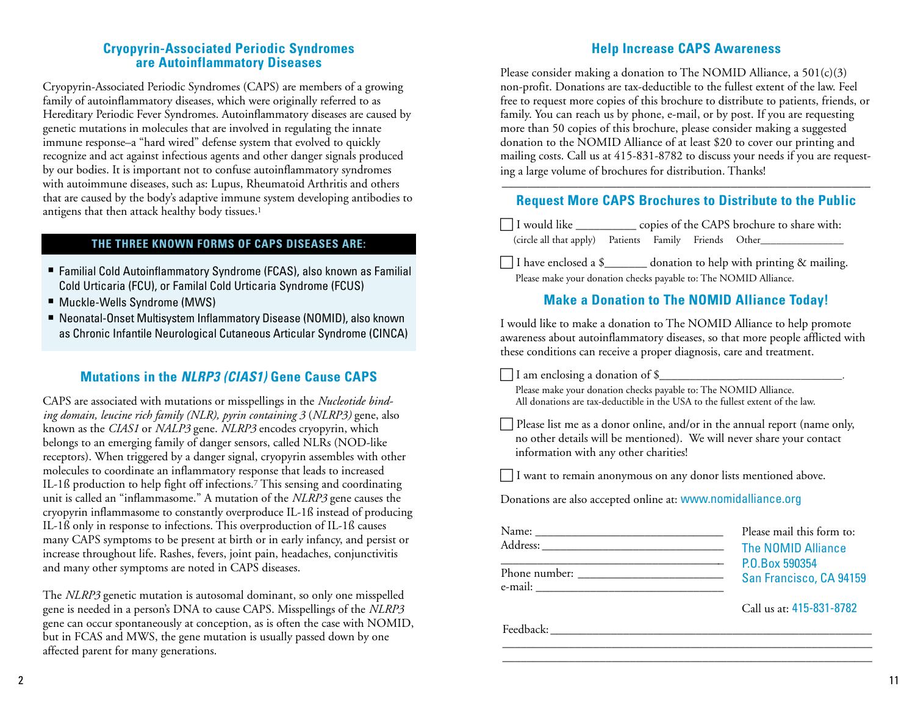#### **Cryopyrin-Associated Periodic Syndromes are Autoinflammatory Diseases**

Cryopyrin-Associated Periodic Syndromes (CAPS) are members of a growing family of autoinflammatory diseases, which were originally referred to as Hereditary Periodic Fever Syndromes. Autoinflammatory diseases are caused by genetic mutations in molecules that are involved in regulating the innate immune response–a "hard wired" defense system that evolved to quickly recognize and act against infectious agents and other danger signals produced by our bodies. It is important not to confuse autoinflammatory syndromes with autoimmune diseases, such as: Lupus, Rheumatoid Arthritis and others that are caused by the body's adaptive immune system developing antibodies to antigens that then attack healthy body tissues.1

#### **THE THREE KNOWN FORMS OF CAPS DISEASES ARE:**

- Familial Cold Autoinflammatory Syndrome (FCAS), also known as Familial Cold Urticaria (FCU), or Familal Cold Urticaria Syndrome (FCUS)
- Muckle-Wells Syndrome (MWS)
- Neonatal-Onset Multisystem Inflammatory Disease (NOMID), also known as Chronic Infantile Neurological Cutaneous Articular Syndrome (CINCA)

## **Mutations in the** *NLRP3 (CIAS1)* **Gene Cause CAPS**

CAPS are associated with mutations or misspellings in the *Nucleotide binding domain, leucine rich family (NLR), pyrin containing 3* (*NLRP3)* gene, also known as the *CIAS1* or *NALP3* gene. *NLRP3* encodes cryopyrin, which belongs to an emerging family of danger sensors, called NLRs (NOD-like receptors). When triggered by a danger signal, cryopyrin assembles with other molecules to coordinate an inflammatory response that leads to increased IL-1ß production to help fight off infections.7 This sensing and coordinating unit is called an "inflammasome." A mutation of the *NLRP3* gene causes the cryopyrin inflammasome to constantly overproduce IL-1ß instead of producing IL-1ß only in response to infections. This overproduction of IL-1ß causes many CAPS symptoms to be present at birth or in early infancy, and persist or increase throughout life. Rashes, fevers, joint pain, headaches, conjunctivitis and many other symptoms are noted in CAPS diseases.

The *NLRP3* genetic mutation is autosomal dominant, so only one misspelled gene is needed in a person's DNA to cause CAPS. Misspellings of the *NLRP3* gene can occur spontaneously at conception, as is often the case with NOMID, but in FCAS and MWS, the gene mutation is usually passed down by one affected parent for many generations.

## **Help Increase CAPS Awareness**

Please consider making a donation to The NOMID Alliance, a  $501(c)(3)$ non-profit. Donations are tax-deductible to the fullest extent of the law. Feel free to request more copies of this brochure to distribute to patients, friends, or family. You can reach us by phone, e-mail, or by post. If you are requesting more than 50 copies of this brochure, please consider making a suggested donation to the NOMID Alliance of at least \$20 to cover our printing and mailing costs. Call us at 415-831-8782 to discuss your needs if you are requesting a large volume of brochures for distribution. Thanks!

#### –––––––––––––––––––––––––––––––––––––––––––––––––––––––––– **Request More CAPS Brochures to Distribute to the Public**

 I would like \_\_\_\_\_\_\_\_\_\_ copies of the CAPS brochure to share with: (circle all that apply) Patients Family Friends Other\_\_\_\_\_\_\_\_\_\_\_\_\_\_\_\_

 $\Box$  I have enclosed a \$ donation to help with printing & mailing. Please make your donation checks payable to: The NOMID Alliance.

## **Make a Donation to The NOMID Alliance Today!**

I would like to make a donation to The NOMID Alliance to help promote awareness about autoinflammatory diseases, so that more people afflicted with these conditions can receive a proper diagnosis, care and treatment.

 $\Box$  I am enclosing a donation of \$ $\Box$ 

 Please make your donation checks payable to: The NOMID Alliance. All donations are tax-deductible in the USA to the fullest extent of the law.

 $\Box$  Please list me as a donor online, and/or in the annual report (name only, no other details will be mentioned). We will never share your contact information with any other charities!

I want to remain anonymous on any donor lists mentioned above.

Donations are also accepted online at: www.nomidalliance.org

| Name:   | Please mail this form to: |
|---------|---------------------------|
|         | <b>The NOMID Alliance</b> |
|         | P.O.Box 590354            |
| e-mail: | San Francisco, CA 941     |
|         |                           |

\_\_\_\_\_\_\_\_\_\_\_\_\_\_\_\_\_\_\_\_\_\_\_\_\_\_\_\_\_\_\_\_\_\_\_\_\_\_\_\_\_\_\_\_\_\_\_\_\_\_\_\_\_\_\_\_\_\_\_\_\_ \_\_\_\_\_\_\_\_\_\_\_\_\_\_\_\_\_\_\_\_\_\_\_\_\_\_\_\_\_\_\_\_\_\_\_\_\_\_\_\_\_\_\_\_\_\_\_\_\_\_\_\_\_\_\_\_\_\_\_\_\_

Call us at: 415-831-8782

94159

Feedback: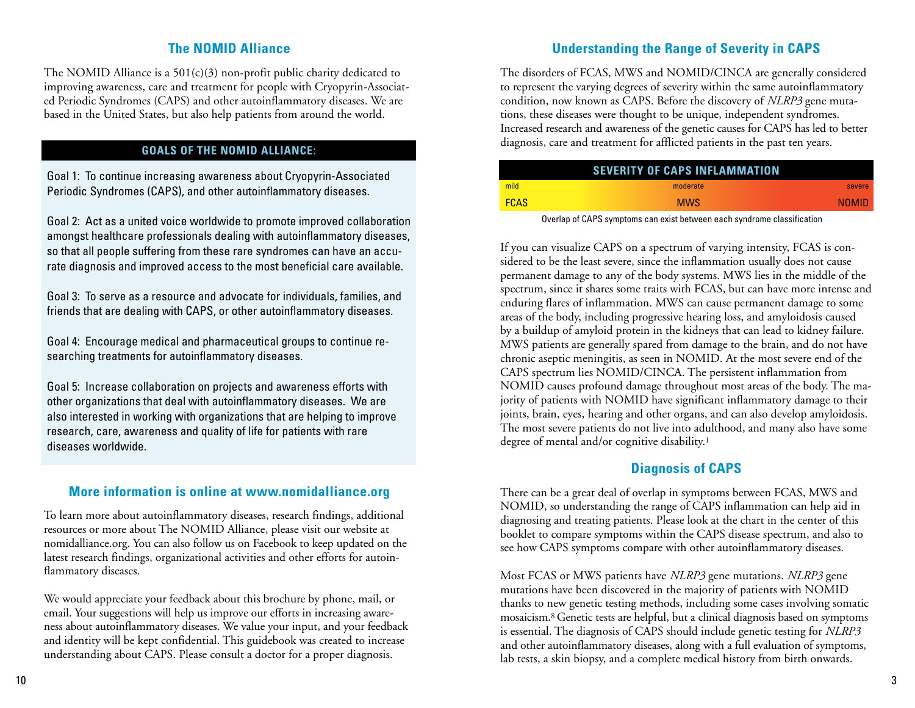## **The NOMID Alliance**

The NOMID Alliance is a  $501(c)(3)$  non-profit public charity dedicated to improving awareness, care and treatment for people with Cryopyrin-Associated Periodic Syndromes (CAPS) and other autoinflammatory diseases. We are based in the United States, but also help patients from around the world.

#### **GOALS OF THE NOMID ALLIANCE:**

Goal 1: To continue increasing awareness about Cryopyrin-Associated Periodic Syndromes (CAPS), and other autoinflammatory diseases.

Goal 2: Act as a united voice worldwide to promote improved collaboration amongst healthcare professionals dealing with autoinflammatory diseases, so that all people suffering from these rare syndromes can have an accurate diagnosis and improved access to the most beneficial care available.

Goal 3: To serve as a resource and advocate for individuals, families, and friends that are dealing with CAPS, or other autoinflammatory diseases.

Goal 4: Encourage medical and pharmaceutical groups to continue researching treatments for autoinflammatory diseases.

Goal 5: Increase collaboration on projects and awareness efforts with other organizations that deal with autoinflammatory diseases. We are also interested in working with organizations that are helping to improve research, care, awareness and quality of life for patients with rare diseases worldwide.

## **More information is online at www.nomidalliance.org**

To learn more about autoinflammatory diseases, research findings, additional resources or more about The NOMID Alliance, please visit our website at nomidalliance.org. You can also follow us on Facebook to keep updated on the latest research findings, organizational activities and other efforts for autoinflammatory diseases.

We would appreciate your feedback about this brochure by phone, mail, or email. Your suggestions will help us improve our efforts in increasing awareness about autoinflammatory diseases. We value your input, and your feedback and identity will be kept confidential. This guidebook was created to increase understanding about CAPS. Please consult a doctor for a proper diagnosis.

## **Understanding the Range of Severity in CAPS**

The disorders of FCAS, MWS and NOMID/CINCA are generally considered to represent the varying degrees of severity within the same autoinflammatory condition, now known as CAPS. Before the discovery of *NLRP3* gene mutations, these diseases were thought to be unique, independent syndromes. Increased research and awareness of the genetic causes for CAPS has led to better diagnosis, care and treatment for afflicted patients in the past ten years.

|             | <b>SEVERITY OF CAPS INFLAMMATION</b> |              |
|-------------|--------------------------------------|--------------|
| mild        | moderate                             | severe       |
| <b>FCAS</b> | <b>MWS</b>                           | <b>NOMID</b> |

Overlap of CAPS symptoms can exist between each syndrome classification

If you can visualize CAPS on a spectrum of varying intensity, FCAS is considered to be the least severe, since the inflammation usually does not cause permanent damage to any of the body systems. MWS lies in the middle of the spectrum, since it shares some traits with FCAS, but can have more intense and enduring flares of inflammation. MWS can cause permanent damage to some areas of the body, including progressive hearing loss, and amyloidosis caused by a buildup of amyloid protein in the kidneys that can lead to kidney failure. MWS patients are generally spared from damage to the brain, and do not have chronic aseptic meningitis, as seen in NOMID. At the most severe end of the CAPS spectrum lies NOMID/CINCA. The persistent inflammation from NOMID causes profound damage throughout most areas of the body. The majority of patients with NOMID have significant inflammatory damage to their joints, brain, eyes, hearing and other organs, and can also develop amyloidosis. The most severe patients do not live into adulthood, and many also have some degree of mental and/or cognitive disability.<sup>1</sup>

## **Diagnosis of CAPS**

There can be a great deal of overlap in symptoms between FCAS, MWS and NOMID, so understanding the range of CAPS inflammation can help aid in diagnosing and treating patients. Please look at the chart in the center of this booklet to compare symptoms within the CAPS disease spectrum, and also to see how CAPS symptoms compare with other autoinflammatory diseases.

Most FCAS or MWS patients have *NLRP3* gene mutations. *NLRP3* gene mutations have been discovered in the majority of patients with NOMID thanks to new genetic testing methods, including some cases involving somatic mosaicism.8 Genetic tests are helpful, but a clinical diagnosis based on symptoms is essential. The diagnosis of CAPS should include genetic testing for *NLRP3* and other autoinflammatory diseases, along with a full evaluation of symptoms, lab tests, a skin biopsy, and a complete medical history from birth onwards.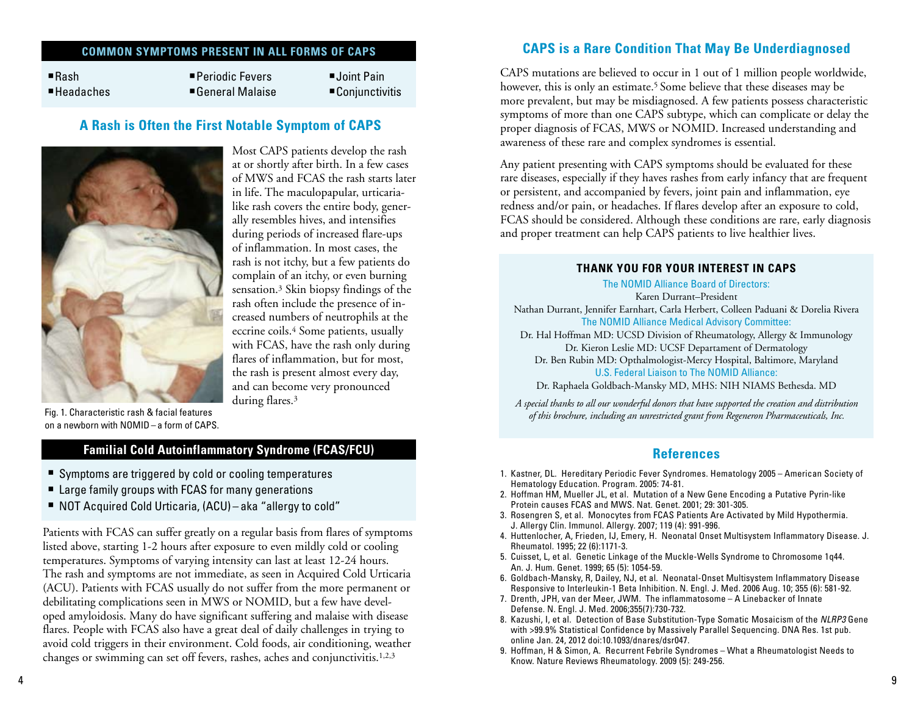#### **COMMON SYMPTOMS PRESENT IN ALL FORMS OF CAPS**

■Rash Periodic Fevers ■ Joint Pain Headaches General Malaise Conjunctivitis

#### **A Rash is Often the First Notable Symptom of CAPS**



Most CAPS patients develop the rash at or shortly after birth. In a few cases of MWS and FCAS the rash starts later in life. The maculopapular, urticarialike rash covers the entire body, generally resembles hives, and intensifies during periods of increased flare-ups of inflammation. In most cases, the rash is not itchy, but a few patients do complain of an itchy, or even burning sensation.3 Skin biopsy findings of the rash often include the presence of increased numbers of neutrophils at the eccrine coils.4 Some patients, usually with FCAS, have the rash only during flares of inflammation, but for most, the rash is present almost every day, and can become very pronounced during flares.3

Fig. 1. Characteristic rash & facial features on a newborn with NOMID– a form of CAPS.

## **Familial Cold Autoinflammatory Syndrome (FCAS/FCU)**

- Symptoms are triggered by cold or cooling temperatures
- Large family groups with FCAS for many generations
- NOT Acquired Cold Urticaria, (ACU) aka "allergy to cold"

Patients with FCAS can suffer greatly on a regular basis from flares of symptoms listed above, starting 1-2 hours after exposure to even mildly cold or cooling temperatures. Symptoms of varying intensity can last at least 12-24 hours. The rash and symptoms are not immediate, as seen in Acquired Cold Urticaria (ACU). Patients with FCAS usually do not suffer from the more permanent or debilitating complications seen in MWS or NOMID, but a few have developed amyloidosis. Many do have significant suffering and malaise with disease flares. People with FCAS also have a great deal of daily challenges in trying to avoid cold triggers in their environment. Cold foods, air conditioning, weather changes or swimming can set off fevers, rashes, aches and conjunctivitis.1,2,3

#### **CAPS is a Rare Condition That May Be Underdiagnosed**

CAPS mutations are believed to occur in 1 out of 1 million people worldwide, however, this is only an estimate.<sup>5</sup> Some believe that these diseases may be more prevalent, but may be misdiagnosed. A few patients possess characteristic symptoms of more than one CAPS subtype, which can complicate or delay the proper diagnosis of FCAS, MWS or NOMID. Increased understanding and awareness of these rare and complex syndromes is essential.

Any patient presenting with CAPS symptoms should be evaluated for these rare diseases, especially if they haves rashes from early infancy that are frequent or persistent, and accompanied by fevers, joint pain and inflammation, eye redness and/or pain, or headaches. If flares develop after an exposure to cold, FCAS should be considered. Although these conditions are rare, early diagnosis and proper treatment can help CAPS patients to live healthier lives.

#### **THANK YOU FOR YOUR INTEREST IN CAPS**

The NOMID Alliance Board of Directors: Karen Durrant–President

Nathan Durrant, Jennifer Earnhart, Carla Herbert, Colleen Paduani & Dorelia Rivera

The NOMID Alliance Medical Advisory Committee:

Dr. Hal Hoffman MD: UCSD Division of Rheumatology, Allergy & Immunology Dr. Kieron Leslie MD: UCSF Departament of Dermatology

Dr. Ben Rubin MD: Opthalmologist-Mercy Hospital, Baltimore, Maryland U.S. Federal Liaison to The NOMID Alliance:

Dr. Raphaela Goldbach-Mansky MD, MHS: NIH NIAMS Bethesda. MD

*A special thanks to all our wonderful donors that have supported the creation and distribution of this brochure, including an unrestricted grant from Regeneron Pharmaceuticals, Inc.*

#### **References**

- 1. Kastner, DL. Hereditary Periodic Fever Syndromes. Hematology 2005 American Society of Hematology Education. Program. 2005: 74-81.
- 2. Hoffman HM, Mueller JL, et al. Mutation of a New Gene Encoding a Putative Pyrin-like Protein causes FCAS and MWS. Nat. Genet. 2001; 29: 301-305.
- 3. Rosengren S, et al. Monocytes from FCAS Patients Are Activated by Mild Hypothermia. J. Allergy Clin. Immunol. Allergy. 2007; 119 (4): 991-996.
- 4. Huttenlocher, A, Frieden, IJ, Emery, H. Neonatal Onset Multisystem Inflammatory Disease. J. Rheumatol. 1995; 22 (6):1171-3.
- 5. Cuisset, L, et al. Genetic Linkage of the Muckle-Wells Syndrome to Chromosome 1q44. An. J. Hum. Genet. 1999; 65 (5): 1054-59.
- 6. Goldbach-Mansky, R, Dailey, NJ, et al. Neonatal-Onset Multisystem Inflammatory Disease Responsive to Interleukin-1 Beta Inhibition. N. Engl. J. Med. 2006 Aug. 10; 355 (6): 581-92.
- 7. Drenth, JPH, van der Meer, JWM. The inflammatosome A Linebacker of Innate Defense. N. Engl. J. Med. 2006;355(7):730-732.
- 8. Kazushi, I, et al. Detection of Base Substitution-Type Somatic Mosaicism of the *NLRP3* Gene with >99.9% Statistical Confidence by Massively Parallel Sequencing. DNA Res. 1st pub. online Jan. 24, 2012 doi:10.1093/dnares/dsr047.
- 9. Hoffman, H & Simon, A. Recurrent Febrile Syndromes What a Rheumatologist Needs to Know. Nature Reviews Rheumatology. 2009 (5): 249-256.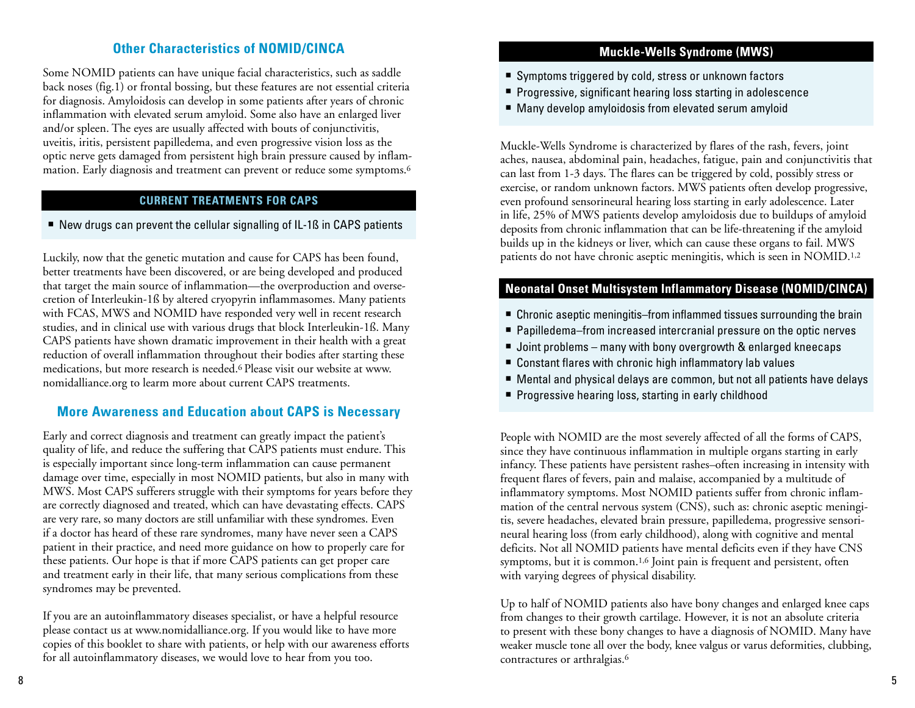## **Other Characteristics of NOMID/CINCA**

Some NOMID patients can have unique facial characteristics, such as saddle back noses (fig.1) or frontal bossing, but these features are not essential criteria for diagnosis. Amyloidosis can develop in some patients after years of chronic inflammation with elevated serum amyloid. Some also have an enlarged liver and/or spleen. The eyes are usually affected with bouts of conjunctivitis, uveitis, iritis, persistent papilledema, and even progressive vision loss as the optic nerve gets damaged from persistent high brain pressure caused by inflammation. Early diagnosis and treatment can prevent or reduce some symptoms.<sup>6</sup>

#### **CURRENT TREATMENTS FOR CAPS**

New drugs can prevent the cellular signalling of IL-1ß in CAPS patients

Luckily, now that the genetic mutation and cause for CAPS has been found, better treatments have been discovered, or are being developed and produced that target the main source of inflammation—the overproduction and oversecretion of Interleukin-1ß by altered cryopyrin inflammasomes. Many patients with FCAS, MWS and NOMID have responded very well in recent research studies, and in clinical use with various drugs that block Interleukin-1ß. Many CAPS patients have shown dramatic improvement in their health with a great reduction of overall inflammation throughout their bodies after starting these medications, but more research is needed.6 Please visit our website at www. nomidalliance.org to learm more about current CAPS treatments.

#### **More Awareness and Education about CAPS is Necessary**

Early and correct diagnosis and treatment can greatly impact the patient's quality of life, and reduce the suffering that CAPS patients must endure. This is especially important since long-term inflammation can cause permanent damage over time, especially in most NOMID patients, but also in many with MWS. Most CAPS sufferers struggle with their symptoms for years before they are correctly diagnosed and treated, which can have devastating effects. CAPS are very rare, so many doctors are still unfamiliar with these syndromes. Even if a doctor has heard of these rare syndromes, many have never seen a CAPS patient in their practice, and need more guidance on how to properly care for these patients. Our hope is that if more CAPS patients can get proper care and treatment early in their life, that many serious complications from these syndromes may be prevented.

If you are an autoinflammatory diseases specialist, or have a helpful resource please contact us at www.nomidalliance.org. If you would like to have more copies of this booklet to share with patients, or help with our awareness efforts for all autoinflammatory diseases, we would love to hear from you too.

#### **Muckle-Wells Syndrome (MWS)**

- Symptoms triggered by cold, stress or unknown factors
- **Progressive, significant hearing loss starting in adolescence**
- Many develop amyloidosis from elevated serum amyloid

Muckle-Wells Syndrome is characterized by flares of the rash, fevers, joint aches, nausea, abdominal pain, headaches, fatigue, pain and conjunctivitis that can last from 1-3 days. The flares can be triggered by cold, possibly stress or exercise, or random unknown factors. MWS patients often develop progressive, even profound sensorineural hearing loss starting in early adolescence. Later in life, 25% of MWS patients develop amyloidosis due to buildups of amyloid deposits from chronic inflammation that can be life-threatening if the amyloid builds up in the kidneys or liver, which can cause these organs to fail. MWS patients do not have chronic aseptic meningitis, which is seen in NOMID.1,2

## **Neonatal Onset Multisystem Inflammatory Disease (NOMID/CINCA)**

- Chronic aseptic meningitis–from inflammed tissues surrounding the brain
- Papilledema–from increased intercranial pressure on the optic nerves
- Joint problems many with bony overgrowth & enlarged kneecaps
- Constant flares with chronic high inflammatory lab values
- Mental and physical delays are common, but not all patients have delays
- **Progressive hearing loss, starting in early childhood**

People with NOMID are the most severely affected of all the forms of CAPS, since they have continuous inflammation in multiple organs starting in early infancy. These patients have persistent rashes–often increasing in intensity with frequent flares of fevers, pain and malaise, accompanied by a multitude of inflammatory symptoms. Most NOMID patients suffer from chronic inflammation of the central nervous system (CNS), such as: chronic aseptic meningitis, severe headaches, elevated brain pressure, papilledema, progressive sensorineural hearing loss (from early childhood), along with cognitive and mental deficits. Not all NOMID patients have mental deficits even if they have CNS symptoms, but it is common.1,6 Joint pain is frequent and persistent, often with varying degrees of physical disability.

Up to half of NOMID patients also have bony changes and enlarged knee caps from changes to their growth cartilage. However, it is not an absolute criteria to present with these bony changes to have a diagnosis of NOMID. Many have weaker muscle tone all over the body, knee valgus or varus deformities, clubbing, contractures or arthralgias.6